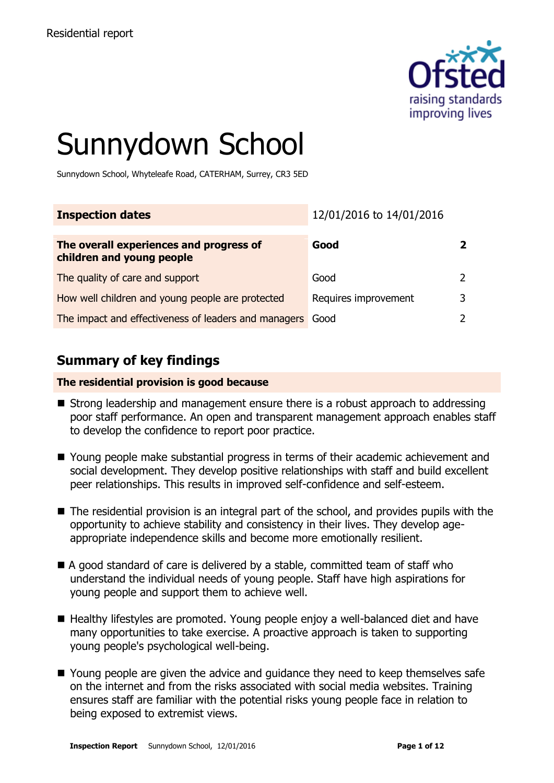

# Sunnydown School

Sunnydown School, Whyteleafe Road, CATERHAM, Surrey, CR3 5ED

| <b>Inspection dates</b>                                              | 12/01/2016 to 14/01/2016 |   |
|----------------------------------------------------------------------|--------------------------|---|
| The overall experiences and progress of<br>children and young people | Good                     |   |
| The quality of care and support                                      | Good                     |   |
| How well children and young people are protected                     | Requires improvement     | ર |
| The impact and effectiveness of leaders and managers                 | Good                     |   |

# **Summary of key findings**

#### **The residential provision is good because**

- Strong leadership and management ensure there is a robust approach to addressing poor staff performance. An open and transparent management approach enables staff to develop the confidence to report poor practice.
- Young people make substantial progress in terms of their academic achievement and social development. They develop positive relationships with staff and build excellent peer relationships. This results in improved self-confidence and self-esteem.
- $\blacksquare$  The residential provision is an integral part of the school, and provides pupils with the opportunity to achieve stability and consistency in their lives. They develop ageappropriate independence skills and become more emotionally resilient.
- A good standard of care is delivered by a stable, committed team of staff who understand the individual needs of young people. Staff have high aspirations for young people and support them to achieve well.
- Healthy lifestyles are promoted. Young people enjoy a well-balanced diet and have many opportunities to take exercise. A proactive approach is taken to supporting young people's psychological well-being.
- Young people are given the advice and guidance they need to keep themselves safe on the internet and from the risks associated with social media websites. Training ensures staff are familiar with the potential risks young people face in relation to being exposed to extremist views.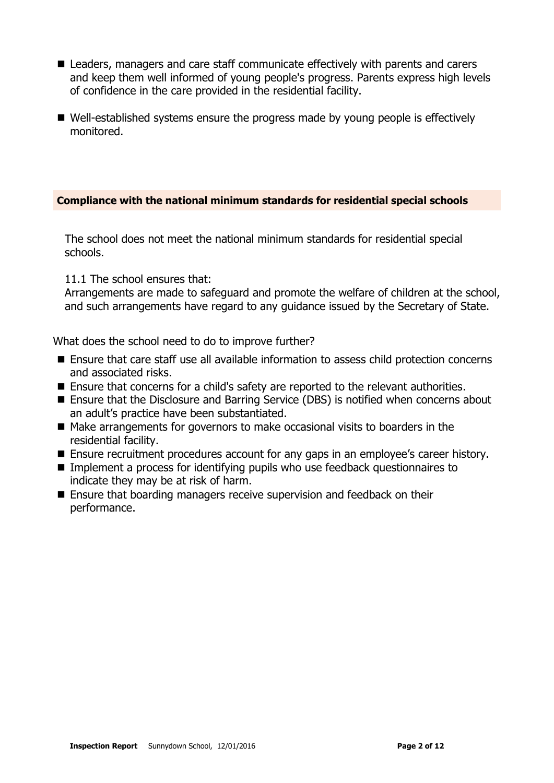- Leaders, managers and care staff communicate effectively with parents and carers and keep them well informed of young people's progress. Parents express high levels of confidence in the care provided in the residential facility.
- Well-established systems ensure the progress made by young people is effectively monitored.

#### **Compliance with the national minimum standards for residential special schools**

The school does not meet the national minimum standards for residential special schools.

#### 11.1 The school ensures that:

Arrangements are made to safeguard and promote the welfare of children at the school, and such arrangements have regard to any guidance issued by the Secretary of State.

What does the school need to do to improve further?

- Ensure that care staff use all available information to assess child protection concerns and associated risks.
- Ensure that concerns for a child's safety are reported to the relevant authorities.
- Ensure that the Disclosure and Barring Service (DBS) is notified when concerns about an adult's practice have been substantiated.
- Make arrangements for governors to make occasional visits to boarders in the residential facility.
- **E** Ensure recruitment procedures account for any gaps in an employee's career history.
- Implement a process for identifying pupils who use feedback questionnaires to indicate they may be at risk of harm.
- Ensure that boarding managers receive supervision and feedback on their performance.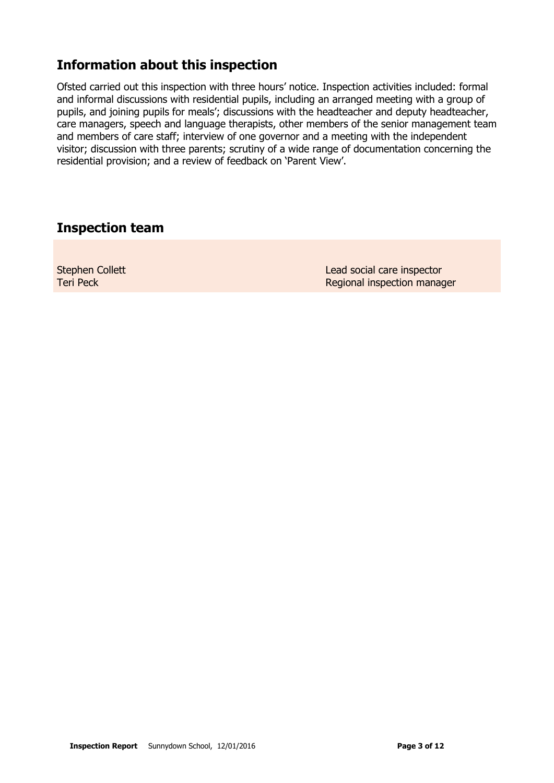# **Information about this inspection**

Ofsted carried out this inspection with three hours' notice. Inspection activities included: formal and informal discussions with residential pupils, including an arranged meeting with a group of pupils, and joining pupils for meals'; discussions with the headteacher and deputy headteacher, care managers, speech and language therapists, other members of the senior management team and members of care staff; interview of one governor and a meeting with the independent visitor; discussion with three parents; scrutiny of a wide range of documentation concerning the residential provision; and a review of feedback on 'Parent View'.

## **Inspection team**

Stephen Collett Teri Peck

Lead social care inspector Regional inspection manager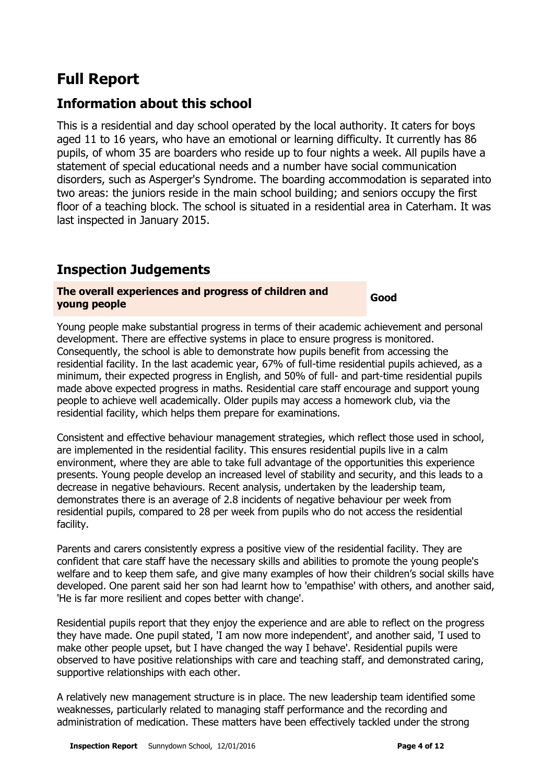# **Full Report**

# **Information about this school**

This is a residential and day school operated by the local authority. It caters for boys aged 11 to 16 years, who have an emotional or learning difficulty. It currently has 86 pupils, of whom 35 are boarders who reside up to four nights a week. All pupils have a statement of special educational needs and a number have social communication disorders, such as Asperger's Syndrome. The boarding accommodation is separated into two areas: the juniors reside in the main school building; and seniors occupy the first floor of a teaching block. The school is situated in a residential area in Caterham. It was last inspected in January 2015.

# **Inspection Judgements**

#### **The overall experiences and progress of children and young people Good**

Young people make substantial progress in terms of their academic achievement and personal development. There are effective systems in place to ensure progress is monitored. Consequently, the school is able to demonstrate how pupils benefit from accessing the residential facility. In the last academic year, 67% of full-time residential pupils achieved, as a minimum, their expected progress in English, and 50% of full- and part-time residential pupils made above expected progress in maths. Residential care staff encourage and support young people to achieve well academically. Older pupils may access a homework club, via the residential facility, which helps them prepare for examinations.

Consistent and effective behaviour management strategies, which reflect those used in school, are implemented in the residential facility. This ensures residential pupils live in a calm environment, where they are able to take full advantage of the opportunities this experience presents. Young people develop an increased level of stability and security, and this leads to a decrease in negative behaviours. Recent analysis, undertaken by the leadership team, demonstrates there is an average of 2.8 incidents of negative behaviour per week from residential pupils, compared to 28 per week from pupils who do not access the residential facility.

Parents and carers consistently express a positive view of the residential facility. They are confident that care staff have the necessary skills and abilities to promote the young people's welfare and to keep them safe, and give many examples of how their children's social skills have developed. One parent said her son had learnt how to 'empathise' with others, and another said, 'He is far more resilient and copes better with change'.

Residential pupils report that they enjoy the experience and are able to reflect on the progress they have made. One pupil stated, 'I am now more independent', and another said, 'I used to make other people upset, but I have changed the way I behave'. Residential pupils were observed to have positive relationships with care and teaching staff, and demonstrated caring, supportive relationships with each other.

A relatively new management structure is in place. The new leadership team identified some weaknesses, particularly related to managing staff performance and the recording and administration of medication. These matters have been effectively tackled under the strong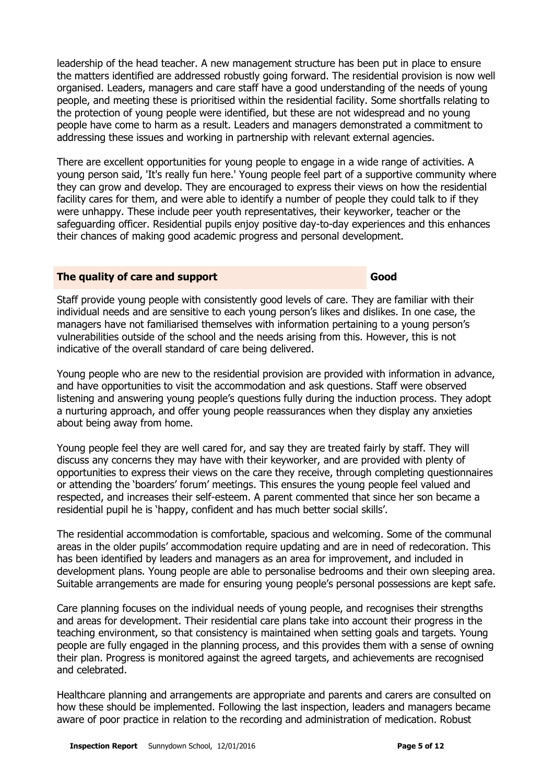leadership of the head teacher. A new management structure has been put in place to ensure the matters identified are addressed robustly going forward. The residential provision is now well organised. Leaders, managers and care staff have a good understanding of the needs of young people, and meeting these is prioritised within the residential facility. Some shortfalls relating to the protection of young people were identified, but these are not widespread and no young people have come to harm as a result. Leaders and managers demonstrated a commitment to addressing these issues and working in partnership with relevant external agencies.

There are excellent opportunities for young people to engage in a wide range of activities. A young person said, 'It's really fun here.' Young people feel part of a supportive community where they can grow and develop. They are encouraged to express their views on how the residential facility cares for them, and were able to identify a number of people they could talk to if they were unhappy. These include peer youth representatives, their keyworker, teacher or the safeguarding officer. Residential pupils enjoy positive day-to-day experiences and this enhances their chances of making good academic progress and personal development.

#### **The quality of care and support Good Good**

Staff provide young people with consistently good levels of care. They are familiar with their individual needs and are sensitive to each young person's likes and dislikes. In one case, the managers have not familiarised themselves with information pertaining to a young person's vulnerabilities outside of the school and the needs arising from this. However, this is not indicative of the overall standard of care being delivered.

Young people who are new to the residential provision are provided with information in advance, and have opportunities to visit the accommodation and ask questions. Staff were observed listening and answering young people's questions fully during the induction process. They adopt a nurturing approach, and offer young people reassurances when they display any anxieties about being away from home.

Young people feel they are well cared for, and say they are treated fairly by staff. They will discuss any concerns they may have with their keyworker, and are provided with plenty of opportunities to express their views on the care they receive, through completing questionnaires or attending the 'boarders' forum' meetings. This ensures the young people feel valued and respected, and increases their self-esteem. A parent commented that since her son became a residential pupil he is 'happy, confident and has much better social skills'.

The residential accommodation is comfortable, spacious and welcoming. Some of the communal areas in the older pupils' accommodation require updating and are in need of redecoration. This has been identified by leaders and managers as an area for improvement, and included in development plans. Young people are able to personalise bedrooms and their own sleeping area. Suitable arrangements are made for ensuring young people's personal possessions are kept safe.

Care planning focuses on the individual needs of young people, and recognises their strengths and areas for development. Their residential care plans take into account their progress in the teaching environment, so that consistency is maintained when setting goals and targets. Young people are fully engaged in the planning process, and this provides them with a sense of owning their plan. Progress is monitored against the agreed targets, and achievements are recognised and celebrated.

Healthcare planning and arrangements are appropriate and parents and carers are consulted on how these should be implemented. Following the last inspection, leaders and managers became aware of poor practice in relation to the recording and administration of medication. Robust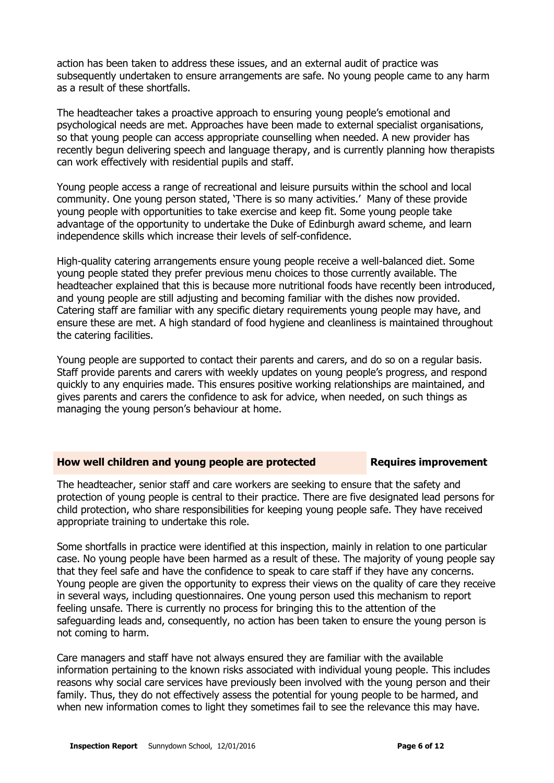action has been taken to address these issues, and an external audit of practice was subsequently undertaken to ensure arrangements are safe. No young people came to any harm as a result of these shortfalls.

The headteacher takes a proactive approach to ensuring young people's emotional and psychological needs are met. Approaches have been made to external specialist organisations, so that young people can access appropriate counselling when needed. A new provider has recently begun delivering speech and language therapy, and is currently planning how therapists can work effectively with residential pupils and staff.

Young people access a range of recreational and leisure pursuits within the school and local community. One young person stated, 'There is so many activities.' Many of these provide young people with opportunities to take exercise and keep fit. Some young people take advantage of the opportunity to undertake the Duke of Edinburgh award scheme, and learn independence skills which increase their levels of self-confidence.

High-quality catering arrangements ensure young people receive a well-balanced diet. Some young people stated they prefer previous menu choices to those currently available. The headteacher explained that this is because more nutritional foods have recently been introduced, and young people are still adjusting and becoming familiar with the dishes now provided. Catering staff are familiar with any specific dietary requirements young people may have, and ensure these are met. A high standard of food hygiene and cleanliness is maintained throughout the catering facilities.

Young people are supported to contact their parents and carers, and do so on a regular basis. Staff provide parents and carers with weekly updates on young people's progress, and respond quickly to any enquiries made. This ensures positive working relationships are maintained, and gives parents and carers the confidence to ask for advice, when needed, on such things as managing the young person's behaviour at home.

#### **How well children and young people are protected Requires improvement**

The headteacher, senior staff and care workers are seeking to ensure that the safety and protection of young people is central to their practice. There are five designated lead persons for child protection, who share responsibilities for keeping young people safe. They have received appropriate training to undertake this role.

Some shortfalls in practice were identified at this inspection, mainly in relation to one particular case. No young people have been harmed as a result of these. The majority of young people say that they feel safe and have the confidence to speak to care staff if they have any concerns. Young people are given the opportunity to express their views on the quality of care they receive in several ways, including questionnaires. One young person used this mechanism to report feeling unsafe. There is currently no process for bringing this to the attention of the safeguarding leads and, consequently, no action has been taken to ensure the young person is not coming to harm.

Care managers and staff have not always ensured they are familiar with the available information pertaining to the known risks associated with individual young people. This includes reasons why social care services have previously been involved with the young person and their family. Thus, they do not effectively assess the potential for young people to be harmed, and when new information comes to light they sometimes fail to see the relevance this may have.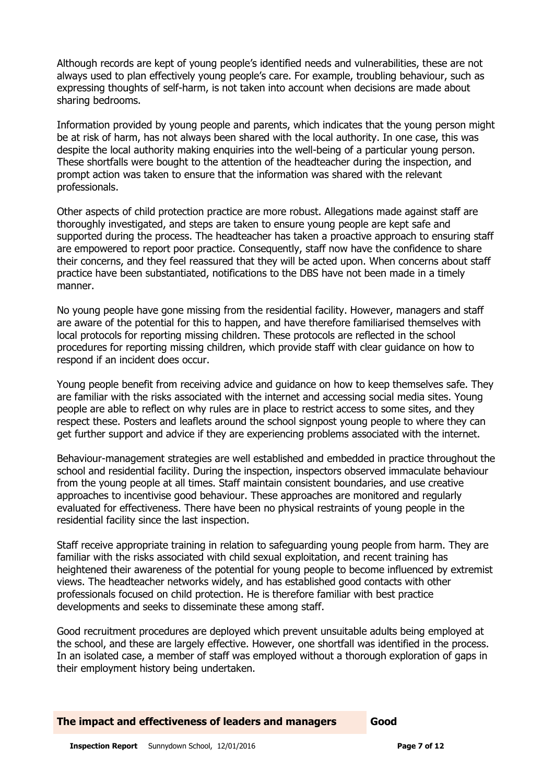Although records are kept of young people's identified needs and vulnerabilities, these are not always used to plan effectively young people's care. For example, troubling behaviour, such as expressing thoughts of self-harm, is not taken into account when decisions are made about sharing bedrooms.

Information provided by young people and parents, which indicates that the young person might be at risk of harm, has not always been shared with the local authority. In one case, this was despite the local authority making enquiries into the well-being of a particular young person. These shortfalls were bought to the attention of the headteacher during the inspection, and prompt action was taken to ensure that the information was shared with the relevant professionals.

Other aspects of child protection practice are more robust. Allegations made against staff are thoroughly investigated, and steps are taken to ensure young people are kept safe and supported during the process. The headteacher has taken a proactive approach to ensuring staff are empowered to report poor practice. Consequently, staff now have the confidence to share their concerns, and they feel reassured that they will be acted upon. When concerns about staff practice have been substantiated, notifications to the DBS have not been made in a timely manner.

No young people have gone missing from the residential facility. However, managers and staff are aware of the potential for this to happen, and have therefore familiarised themselves with local protocols for reporting missing children. These protocols are reflected in the school procedures for reporting missing children, which provide staff with clear guidance on how to respond if an incident does occur.

Young people benefit from receiving advice and guidance on how to keep themselves safe. They are familiar with the risks associated with the internet and accessing social media sites. Young people are able to reflect on why rules are in place to restrict access to some sites, and they respect these. Posters and leaflets around the school signpost young people to where they can get further support and advice if they are experiencing problems associated with the internet.

Behaviour-management strategies are well established and embedded in practice throughout the school and residential facility. During the inspection, inspectors observed immaculate behaviour from the young people at all times. Staff maintain consistent boundaries, and use creative approaches to incentivise good behaviour. These approaches are monitored and regularly evaluated for effectiveness. There have been no physical restraints of young people in the residential facility since the last inspection.

Staff receive appropriate training in relation to safeguarding young people from harm. They are familiar with the risks associated with child sexual exploitation, and recent training has heightened their awareness of the potential for young people to become influenced by extremist views. The headteacher networks widely, and has established good contacts with other professionals focused on child protection. He is therefore familiar with best practice developments and seeks to disseminate these among staff.

Good recruitment procedures are deployed which prevent unsuitable adults being employed at the school, and these are largely effective. However, one shortfall was identified in the process. In an isolated case, a member of staff was employed without a thorough exploration of gaps in their employment history being undertaken.

#### **The impact and effectiveness of leaders and managers Good**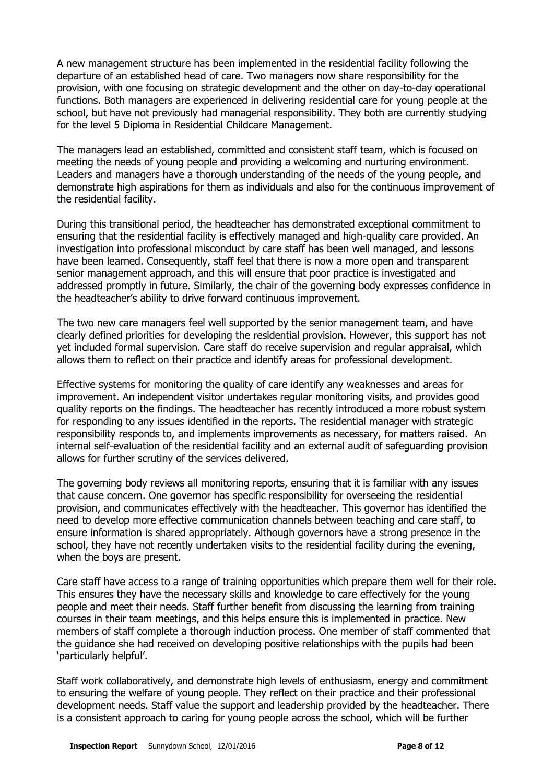A new management structure has been implemented in the residential facility following the departure of an established head of care. Two managers now share responsibility for the provision, with one focusing on strategic development and the other on day-to-day operational functions. Both managers are experienced in delivering residential care for young people at the school, but have not previously had managerial responsibility. They both are currently studying for the level 5 Diploma in Residential Childcare Management.

The managers lead an established, committed and consistent staff team, which is focused on meeting the needs of young people and providing a welcoming and nurturing environment. Leaders and managers have a thorough understanding of the needs of the young people, and demonstrate high aspirations for them as individuals and also for the continuous improvement of the residential facility.

During this transitional period, the headteacher has demonstrated exceptional commitment to ensuring that the residential facility is effectively managed and high-quality care provided. An investigation into professional misconduct by care staff has been well managed, and lessons have been learned. Consequently, staff feel that there is now a more open and transparent senior management approach, and this will ensure that poor practice is investigated and addressed promptly in future. Similarly, the chair of the governing body expresses confidence in the headteacher's ability to drive forward continuous improvement.

The two new care managers feel well supported by the senior management team, and have clearly defined priorities for developing the residential provision. However, this support has not yet included formal supervision. Care staff do receive supervision and regular appraisal, which allows them to reflect on their practice and identify areas for professional development.

Effective systems for monitoring the quality of care identify any weaknesses and areas for improvement. An independent visitor undertakes regular monitoring visits, and provides good quality reports on the findings. The headteacher has recently introduced a more robust system for responding to any issues identified in the reports. The residential manager with strategic responsibility responds to, and implements improvements as necessary, for matters raised. An internal self-evaluation of the residential facility and an external audit of safeguarding provision allows for further scrutiny of the services delivered.

The governing body reviews all monitoring reports, ensuring that it is familiar with any issues that cause concern. One governor has specific responsibility for overseeing the residential provision, and communicates effectively with the headteacher. This governor has identified the need to develop more effective communication channels between teaching and care staff, to ensure information is shared appropriately. Although governors have a strong presence in the school, they have not recently undertaken visits to the residential facility during the evening, when the boys are present.

Care staff have access to a range of training opportunities which prepare them well for their role. This ensures they have the necessary skills and knowledge to care effectively for the young people and meet their needs. Staff further benefit from discussing the learning from training courses in their team meetings, and this helps ensure this is implemented in practice. New members of staff complete a thorough induction process. One member of staff commented that the guidance she had received on developing positive relationships with the pupils had been 'particularly helpful'.

Staff work collaboratively, and demonstrate high levels of enthusiasm, energy and commitment to ensuring the welfare of young people. They reflect on their practice and their professional development needs. Staff value the support and leadership provided by the headteacher. There is a consistent approach to caring for young people across the school, which will be further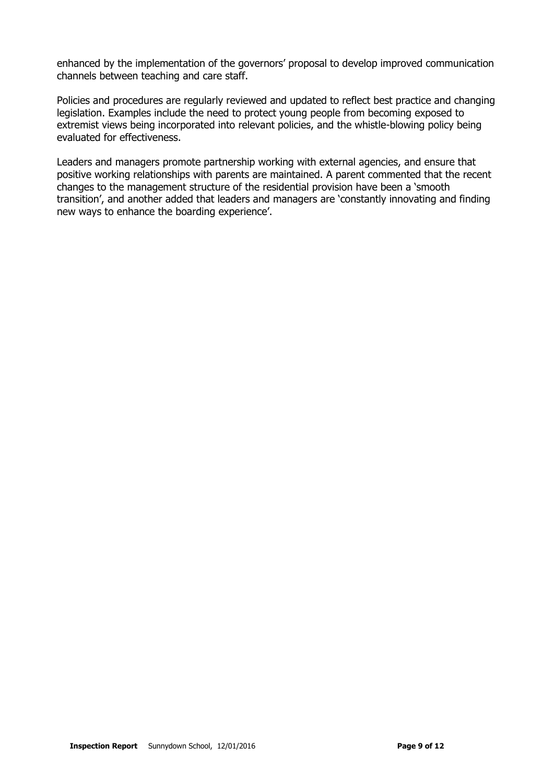enhanced by the implementation of the governors' proposal to develop improved communication channels between teaching and care staff.

Policies and procedures are regularly reviewed and updated to reflect best practice and changing legislation. Examples include the need to protect young people from becoming exposed to extremist views being incorporated into relevant policies, and the whistle-blowing policy being evaluated for effectiveness.

Leaders and managers promote partnership working with external agencies, and ensure that positive working relationships with parents are maintained. A parent commented that the recent changes to the management structure of the residential provision have been a 'smooth transition', and another added that leaders and managers are 'constantly innovating and finding new ways to enhance the boarding experience'.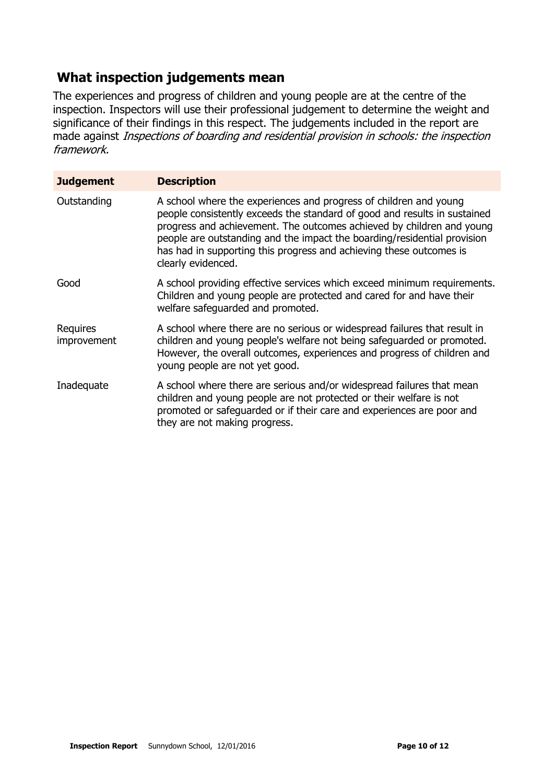# **What inspection judgements mean**

The experiences and progress of children and young people are at the centre of the inspection. Inspectors will use their professional judgement to determine the weight and significance of their findings in this respect. The judgements included in the report are made against Inspections of boarding and residential provision in schools: the inspection framework.

| <b>Judgement</b>        | <b>Description</b>                                                                                                                                                                                                                                                                                                                                                                               |
|-------------------------|--------------------------------------------------------------------------------------------------------------------------------------------------------------------------------------------------------------------------------------------------------------------------------------------------------------------------------------------------------------------------------------------------|
| Outstanding             | A school where the experiences and progress of children and young<br>people consistently exceeds the standard of good and results in sustained<br>progress and achievement. The outcomes achieved by children and young<br>people are outstanding and the impact the boarding/residential provision<br>has had in supporting this progress and achieving these outcomes is<br>clearly evidenced. |
| Good                    | A school providing effective services which exceed minimum requirements.<br>Children and young people are protected and cared for and have their<br>welfare safequarded and promoted.                                                                                                                                                                                                            |
| Requires<br>improvement | A school where there are no serious or widespread failures that result in<br>children and young people's welfare not being safeguarded or promoted.<br>However, the overall outcomes, experiences and progress of children and<br>young people are not yet good.                                                                                                                                 |
| Inadequate              | A school where there are serious and/or widespread failures that mean<br>children and young people are not protected or their welfare is not<br>promoted or safeguarded or if their care and experiences are poor and<br>they are not making progress.                                                                                                                                           |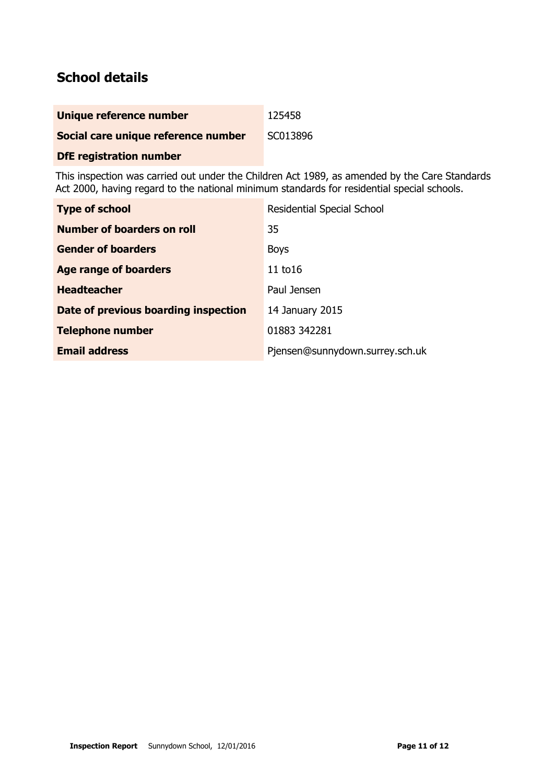# **School details**

| Unique reference number             | 125458   |
|-------------------------------------|----------|
| Social care unique reference number | SC013896 |

### **DfE registration number**

This inspection was carried out under the Children Act 1989, as amended by the Care Standards Act 2000, having regard to the national minimum standards for residential special schools.

| <b>Type of school</b>                | <b>Residential Special School</b> |
|--------------------------------------|-----------------------------------|
| Number of boarders on roll           | 35                                |
| <b>Gender of boarders</b>            | <b>Boys</b>                       |
| Age range of boarders                | 11 $t$ o16                        |
| <b>Headteacher</b>                   | Paul Jensen                       |
| Date of previous boarding inspection | 14 January 2015                   |
| <b>Telephone number</b>              | 01883 342281                      |
| <b>Email address</b>                 | Pjensen@sunnydown.surrey.sch.uk   |